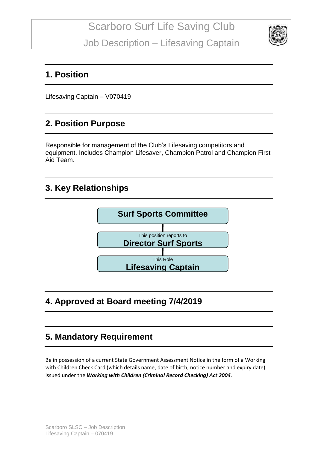

#### **1. Position**

Lifesaving Captain – V070419

## **2. Position Purpose**

Responsible for management of the Club's Lifesaving competitors and equipment. Includes Champion Lifesaver, Champion Patrol and Champion First Aid Team.

#### **3. Key Relationships**



# **4. Approved at Board meeting 7/4/2019**

## **5. Mandatory Requirement**

Be in possession of a current State Government Assessment Notice in the form of a Working with Children Check Card (which details name, date of birth, notice number and expiry date) issued under the *Working with Children (Criminal Record Checking) Act 2004*.